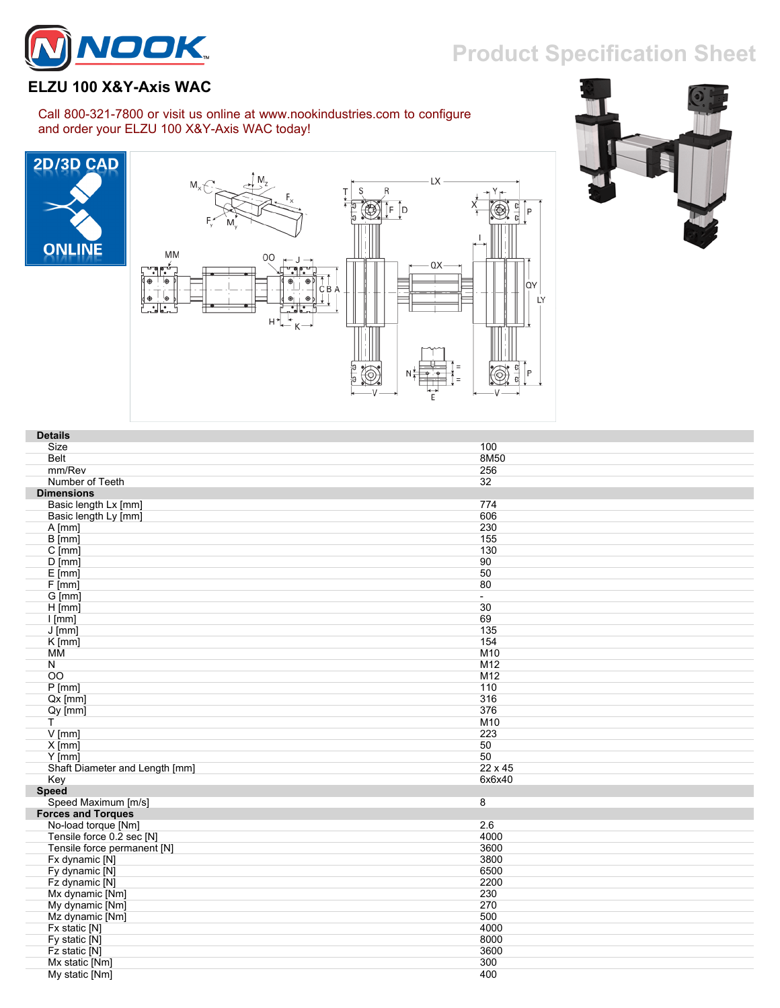## **Product Specification Sheet**



## **ELZU 100 X&Y-Axis WAC**

## Call 800-321-7800 or visit us online at www.nookindustries.com to configure and order your ELZU 100 X&Y-Axis WAC today!







| <b>Details</b>                 |         |
|--------------------------------|---------|
| Size                           | 100     |
| Belt                           | 8M50    |
| mm/Rev                         | 256     |
| Number of Teeth                | 32      |
| <b>Dimensions</b>              |         |
| Basic length Lx [mm]           | 774     |
| Basic length Ly [mm]           | 606     |
| $A$ [mm]                       | 230     |
| $\overline{B}$ [mm]            | 155     |
| $C$ [mm]                       | 130     |
| $D$ [mm]                       | 90      |
| $E$ [mm]                       | 50      |
| F[mm]                          | 80      |
| G [mm]                         | $\sim$  |
| $H$ [mm]                       | 30      |
| $I$ [mm]                       | 69      |
| $J$ [mm]                       | 135     |
| $K$ [mm]                       | 154     |
| ΜМ                             | M10     |
| N                              | M12     |
| OO                             | M12     |
| $P$ [mm]                       | 110     |
| $Qx$ [mm]                      | 316     |
| $Qy$ [mm]                      | 376     |
| T                              | M10     |
| $V$ [mm]                       | 223     |
| $X$ [mm]                       | 50      |
| $Y$ [mm]                       | 50      |
| Shaft Diameter and Length [mm] | 22 x 45 |
| Key                            | 6x6x40  |
| Speed                          |         |
| Speed Maximum [m/s]            | 8       |
| <b>Forces and Torques</b>      |         |
| No-load torque [Nm]            | 2.6     |
| Tensile force 0.2 sec [N]      | 4000    |
| Tensile force permanent [N]    | 3600    |
| Fx dynamic [N]                 | 3800    |
| Fy dynamic [N]                 | 6500    |
| Fz dynamic [N]                 | 2200    |
| Mx dynamic [Nm]                | 230     |
| My dynamic [Nm]                | 270     |
| Mz dynamic [Nm]                | 500     |
| Fx static [N]                  | 4000    |
| Fy static [N]                  | 8000    |
| Fz static [N]                  | 3600    |
| Mx static [Nm]                 | 300     |
| My static [Nm]                 | 400     |
|                                |         |